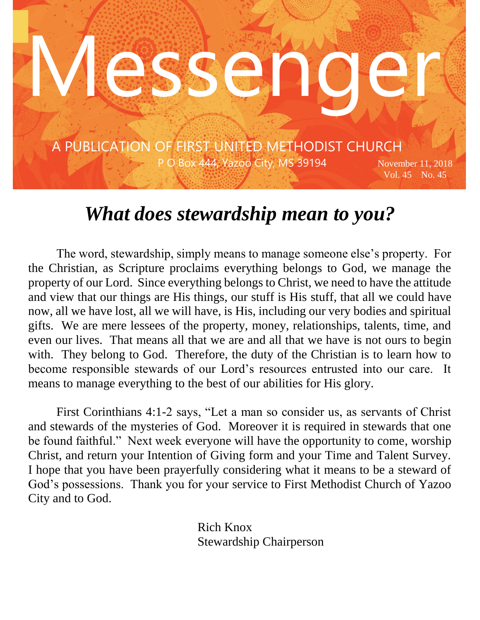

## *What does stewardship mean to you?*

The word, stewardship, simply means to manage someone else's property. For the Christian, as Scripture proclaims everything belongs to God, we manage the property of our Lord. Since everything belongs to Christ, we need to have the attitude and view that our things are His things, our stuff is His stuff, that all we could have now, all we have lost, all we will have, is His, including our very bodies and spiritual gifts. We are mere lessees of the property, money, relationships, talents, time, and even our lives. That means all that we are and all that we have is not ours to begin with. They belong to God. Therefore, the duty of the Christian is to learn how to become responsible stewards of our Lord's resources entrusted into our care. It means to manage everything to the best of our abilities for His glory.

First Corinthians 4:1-2 says, "Let a man so consider us, as servants of Christ and stewards of the mysteries of God. Moreover it is required in stewards that one be found faithful." Next week everyone will have the opportunity to come, worship Christ, and return your Intention of Giving form and your Time and Talent Survey. I hope that you have been prayerfully considering what it means to be a steward of God's possessions. Thank you for your service to First Methodist Church of Yazoo City and to God.

> Rich Knox Stewardship Chairperson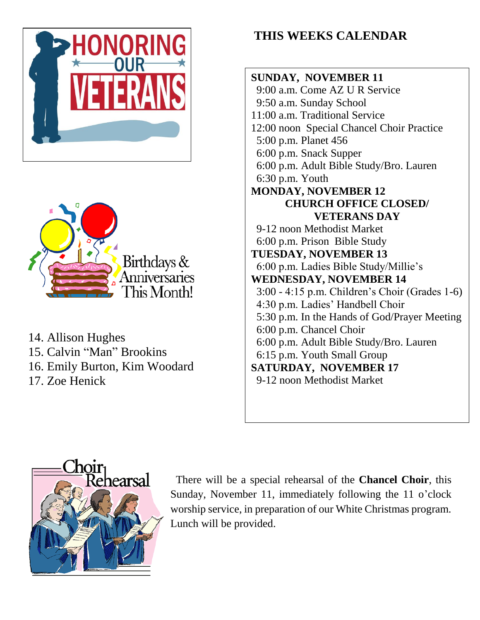



14. Allison Hughes 15. Calvin "Man" Brookins 16. Emily Burton, Kim Woodard 17. Zoe Henick

### **THIS WEEKS CALENDAR**





 There will be a special rehearsal of the **Chancel Choir**, this Sunday, November 11, immediately following the 11 o'clock worship service, in preparation of our White Christmas program. Lunch will be provided.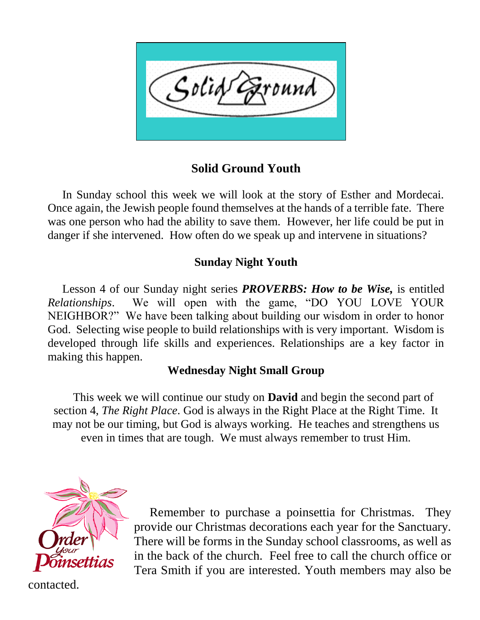

#### **Solid Ground Youth**

 In Sunday school this week we will look at the story of Esther and Mordecai. Once again, the Jewish people found themselves at the hands of a terrible fate. There was one person who had the ability to save them. However, her life could be put in danger if she intervened. How often do we speak up and intervene in situations?

#### **Sunday Night Youth**

 Lesson 4 of our Sunday night series *PROVERBS: How to be Wise,* is entitled *Relationships*. We will open with the game, "DO YOU LOVE YOUR NEIGHBOR?" We have been talking about building our wisdom in order to honor God. Selecting wise people to build relationships with is very important. Wisdom is developed through life skills and experiences. Relationships are a key factor in making this happen.

#### **Wednesday Night Small Group**

 This week we will continue our study on **David** and begin the second part of section 4, *The Right Place*. God is always in the Right Place at the Right Time. It may not be our timing, but God is always working. He teaches and strengthens us even in times that are tough. We must always remember to trust Him.



 Remember to purchase a poinsettia for Christmas. They provide our Christmas decorations each year for the Sanctuary. There will be forms in the Sunday school classrooms, as well as in the back of the church. Feel free to call the church office or Tera Smith if you are interested. Youth members may also be

contacted.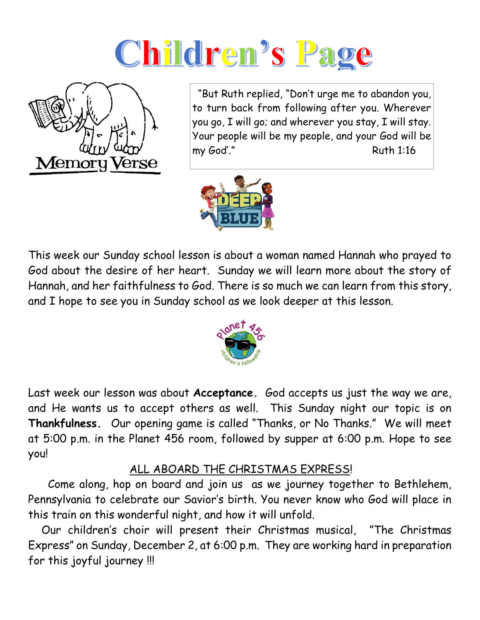# Children's Page



 "But Ruth replied, "Don't urge me to abandon you, to turn back from following after you. Wherever you go, I will go; and wherever you stay, I will stay. Your people will be my people, and your God will be my God'." Ruth 1:16



This week our Sunday school lesson is about a woman named Hannah who prayed to God about the desire of her heart. Sunday we will learn more about the story of Hannah, and her faithfulness to God. There is so much we can learn from this story, and I hope to see you in Sunday school as we look deeper at this lesson.



Last week our lesson was about **Acceptance.** God accepts us just the way we are, and He wants us to accept others as well. This Sunday night our topic is on **Thankfulness.** Our opening game is called "Thanks, or No Thanks." We will meet at 5:00 p.m. in the Planet 456 room, followed by supper at 6:00 p.m. Hope to see you!

#### ALL ABOARD THE CHRISTMAS EXPRESS!

 Come along, hop on board and join us as we journey together to Bethlehem, Pennsylvania to celebrate our Savior's birth. You never know who God will place in this train on this wonderful night, and how it will unfold.

 Our children's choir will present their Christmas musical, "The Christmas Express" on Sunday, December 2, at 6:00 p.m. They are working hard in preparation for this joyful journey !!!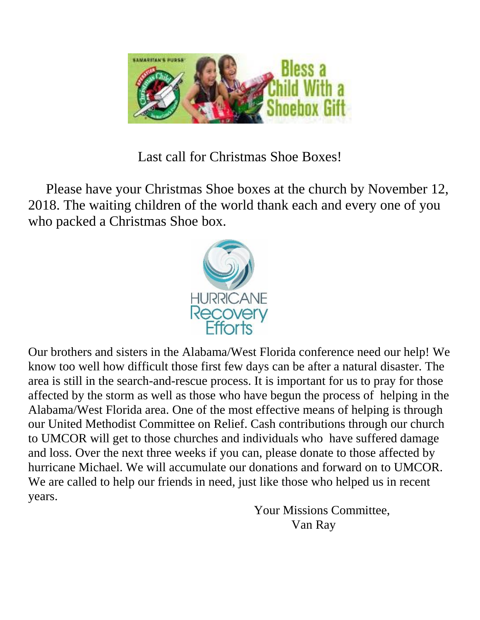

Last call for Christmas Shoe Boxes!

 Please have your Christmas Shoe boxes at the church by November 12, 2018. The waiting children of the world thank each and every one of you who packed a Christmas Shoe box.



Our brothers and sisters in the Alabama/West Florida conference need our help! We know too well how difficult those first few days can be after a natural disaster. The area is still in the search-and-rescue process. It is important for us to pray for those affected by the storm as well as those who have begun the process of helping in the Alabama/West Florida area. One of the most effective means of helping is through our United Methodist Committee on Relief. Cash contributions through our church to UMCOR will get to those churches and individuals who have suffered damage and loss. Over the next three weeks if you can, please donate to those affected by hurricane Michael. We will accumulate our donations and forward on to UMCOR. We are called to help our friends in need, just like those who helped us in recent years.

 Your Missions Committee, Van Ray